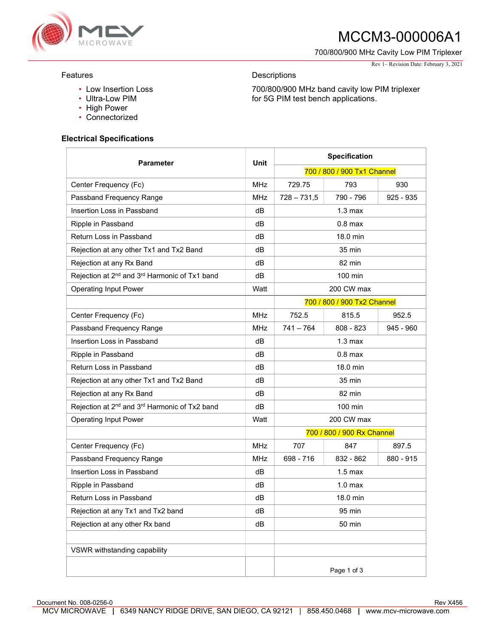

# MCCM3-000006A1

700/800/900 MHz Cavity Low PIM Triplexer

700/800/900 MHz band cavity low PIM triplexer

for 5G PIM test bench applications.

### Features

- Low Insertion Loss
- Ultra-Low PIM
- High Power
- Connectorized

### Electrical Specifications

| <b>Parameter</b>                                                      | Unit       | <b>Specification</b>        |                             |             |
|-----------------------------------------------------------------------|------------|-----------------------------|-----------------------------|-------------|
|                                                                       |            | 700 / 800 / 900 Tx1 Channel |                             |             |
| Center Frequency (Fc)                                                 | <b>MHz</b> | 729.75                      | 793                         | 930         |
| Passband Frequency Range                                              | <b>MHz</b> | $728 - 731,5$               | 790 - 796                   | $925 - 935$ |
| Insertion Loss in Passband                                            | dB         | 1.3 <sub>max</sub>          |                             |             |
| Ripple in Passband                                                    | dВ         | $0.8$ max                   |                             |             |
| Return Loss in Passband                                               | dB         | 18.0 min                    |                             |             |
| Rejection at any other Tx1 and Tx2 Band                               | dВ         | 35 min                      |                             |             |
| Rejection at any Rx Band                                              | dВ         | 82 min                      |                             |             |
| Rejection at 2 <sup>nd</sup> and 3 <sup>rd</sup> Harmonic of Tx1 band | dB         | $100$ min                   |                             |             |
| <b>Operating Input Power</b>                                          | Watt       |                             | 200 CW max                  |             |
|                                                                       |            |                             | 700 / 800 / 900 Tx2 Channel |             |
| Center Frequency (Fc)                                                 | <b>MHz</b> | 752.5                       | 815.5                       | 952.5       |
| Passband Frequency Range                                              | <b>MHz</b> | $741 - 764$                 | $808 - 823$                 | $945 - 960$ |
| Insertion Loss in Passband                                            | dВ         | 1.3 <sub>max</sub>          |                             |             |
| Ripple in Passband                                                    | dB         | $0.8$ max                   |                             |             |
| Return Loss in Passband                                               | dВ         | 18.0 min                    |                             |             |
| Rejection at any other Tx1 and Tx2 Band                               | dB         | 35 min                      |                             |             |
| Rejection at any Rx Band                                              | dB         | 82 min                      |                             |             |
| Rejection at 2 <sup>nd</sup> and 3 <sup>rd</sup> Harmonic of Tx2 band | dB         | $100 \text{ min}$           |                             |             |
| <b>Operating Input Power</b>                                          | Watt       | 200 CW max                  |                             |             |
|                                                                       |            | 700 / 800 / 900 Rx Channel  |                             |             |
| Center Frequency (Fc)                                                 | <b>MHz</b> | 707                         | 847                         | 897.5       |
| Passband Frequency Range                                              | <b>MHz</b> | 698 - 716                   | 832 - 862                   | 880 - 915   |
| Insertion Loss in Passband                                            | dВ         | $1.5$ max                   |                             |             |
| Ripple in Passband                                                    | dB         | 1.0 <sub>max</sub>          |                             |             |
| Return Loss in Passband                                               | dB         | 18.0 min                    |                             |             |
| Rejection at any Tx1 and Tx2 band                                     | dB         | 95 min                      |                             |             |
| Rejection at any other Rx band                                        | dB         | 50 min                      |                             |             |
|                                                                       |            |                             |                             |             |
| VSWR withstanding capability                                          |            |                             |                             |             |
|                                                                       |            |                             | Page 1 of 3                 |             |

**Descriptions** 

Rev 1– Revision Date: February 3, 2021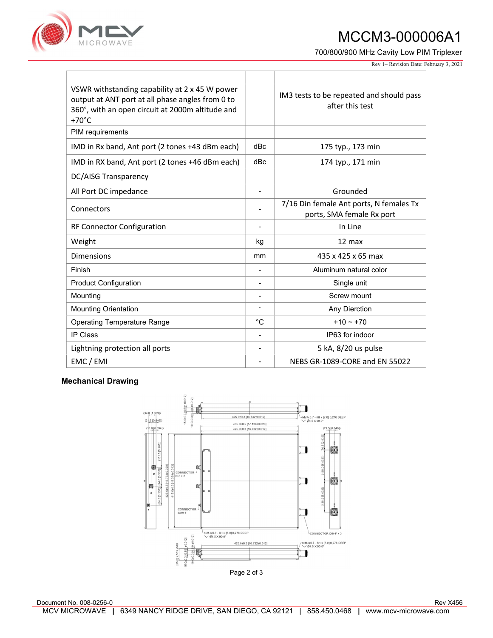

## MCCM3-000006A1

700/800/900 MHz Cavity Low PIM Triplexer

Rev 1– Revision Date: February 3, 2021

| VSWR withstanding capability at 2 x 45 W power<br>output at ANT port at all phase angles from 0 to<br>360°, with an open circuit at 2000m altitude and<br>$+70^{\circ}$ C |                | IM3 tests to be repeated and should pass<br>after this test          |  |
|---------------------------------------------------------------------------------------------------------------------------------------------------------------------------|----------------|----------------------------------------------------------------------|--|
| PIM requirements                                                                                                                                                          |                |                                                                      |  |
| IMD in Rx band, Ant port (2 tones +43 dBm each)                                                                                                                           | dBc            | 175 typ., 173 min                                                    |  |
| IMD in RX band, Ant port (2 tones +46 dBm each)                                                                                                                           | dBc            | 174 typ., 171 min                                                    |  |
| <b>DC/AISG Transparency</b>                                                                                                                                               |                |                                                                      |  |
| All Port DC impedance                                                                                                                                                     |                | Grounded                                                             |  |
| Connectors                                                                                                                                                                |                | 7/16 Din female Ant ports, N females Tx<br>ports, SMA female Rx port |  |
| <b>RF Connector Configuration</b>                                                                                                                                         |                | In Line                                                              |  |
| Weight                                                                                                                                                                    | kg             | $12 \text{ max}$                                                     |  |
| <b>Dimensions</b>                                                                                                                                                         | mm             | 435 x 425 x 65 max                                                   |  |
| Finish                                                                                                                                                                    |                | Aluminum natural color                                               |  |
| <b>Product Configuration</b>                                                                                                                                              | -              | Single unit                                                          |  |
| Mounting                                                                                                                                                                  | -              | Screw mount                                                          |  |
| <b>Mounting Orientation</b>                                                                                                                                               |                | Any Dierction                                                        |  |
| <b>Operating Temperature Range</b>                                                                                                                                        | °C             | $+10 \sim +70$                                                       |  |
| <b>IP Class</b>                                                                                                                                                           | $\overline{a}$ | IP63 for indoor                                                      |  |
| Lightning protection all ports                                                                                                                                            |                | 5 kA, 8/20 us pulse                                                  |  |
| EMC / EMI                                                                                                                                                                 |                | NFBS GR-1089-CORF and FN 55022                                       |  |

### Mechanical Drawing